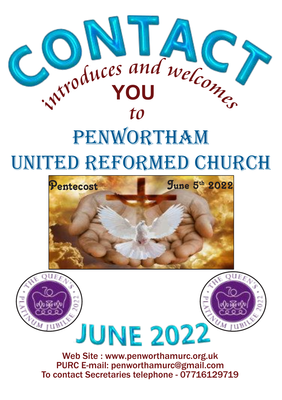

# UNITED REFORMED CHURCH



Web Site : www.penworthamurc.org.uk PURC E-mail: penworthamurc@gmail.com To contact Secretaries telephone - 07716129719

**JUNE 2022** 

NUM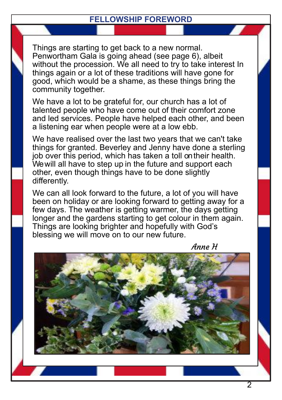#### **FELLOWSHIP FOREWORD**

Things are starting to get back to a new normal. Penwortham Gala is going ahead (see page 6), albeit without the procession. We all need to try to take interest In things again or a lot of these traditions will have gone for good, which would be a shame, as these things bring the community together.

We have a lot to be grateful for, our church has a lot of talented people who have come out of their comfort zone and led services. People have helped each other, and been a listening ear when people were at a low ebb.

We have realised over the last two years that we can't take things for granted. Beverley and Jenny have done a sterling job over this period, which has taken a toll ontheir health. Wewill all have to step up in the future and support each other, even though things have to be done slightly differently.

We can all look forward to the future, a lot of you will have been on holiday or are looking forward to getting away for a few days. The weather is getting warmer, the days getting longer and the gardens starting to get colour in them again. Things are looking brighter and hopefully with God's blessing we will move on to our new future.



Anne H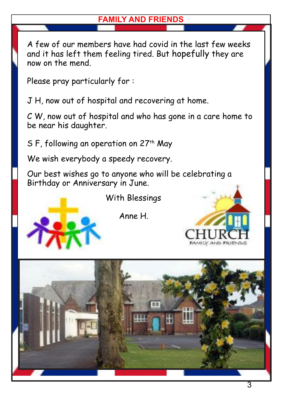## **FAMILY AND FRIENDS**

A few of our members have had covid in the last few weeks and it has left them feeling tired. But hopefully they are now on the mend.

Please pray particularly for :

J H, now out of hospital and recovering at home.

C W, now out of hospital and who has gone in a care home to be near his daughter.

S F, following an operation on  $27<sup>th</sup>$  May

We wish everybody a speedy recovery.

Our best wishes go to anyone who will be celebrating a Birthday or Anniversary in June.

With Blessings

Anne H.



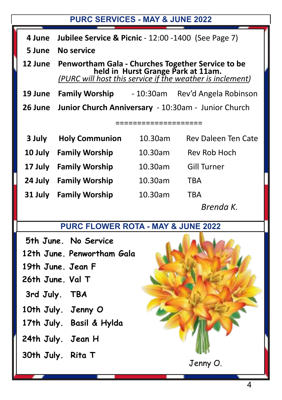#### **PURC SERVICES - MAY & JUNE 2022**

- **4 June Jubilee Service & Picnic** 12:00 -1400 (See Page 7)
- **5 June No service**

**12 June Penwortham Gala - Churches Together Service to be held in Hurst Grange Park at 11am.** *(PURC will host this service if the weather is inclement)*

**19 June Family Worship** - 10:30am Rev'd Angela Robinson

**26 June Junior Church Anniversary** - 10:30am - Junior Church

====================

| 3 July  | <b>Holy Communion</b> | 10.30am | Rev Daleen Ten Cate |
|---------|-----------------------|---------|---------------------|
| 10 July | <b>Family Worship</b> | 10.30am | Rev Rob Hoch        |
| 17 July | <b>Family Worship</b> | 10.30am | <b>Gill Turner</b>  |
| 24 July | <b>Family Worship</b> | 10.30am | TBA                 |
| 31 July | <b>Family Worship</b> | 10.30am | TBA                 |
|         |                       |         | Brenda K.           |

## **PURC FLOWER ROTA - MAY & JUNE 2022**

**5th June. No Service**

**12th June. Penwortham Gala**

- **19th June. Jean F**
- **26th June. Val T**
- **3rd July. TBA**
- **10th July. Jenny O**
- **17th July. Basil & Hylda**
- **24th July. Jean H**
- **30th July. Rita T**

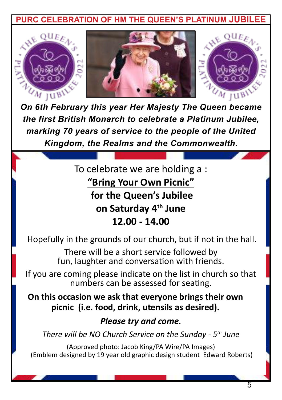**RC CELEBRATION OF HM THE QUEEN'S PLATINUM** 







*On 6th February this year Her Majesty The Queen became the first British Monarch to celebrate a Platinum Jubilee, marking 70 years of service to the people of the United Kingdom, the Realms and the Commonwealth.*

> To celebrate we are holding a : **"Bring Your Own Picnic" for the Queen's Jubilee on Saturday 4th June 12.00 - 14.00**

Hopefully in the grounds of our church, but if not in the hall.

There will be a short service followed by fun, laughter and conversation with friends.

If you are coming please indicate on the list in church so that numbers can be assessed for seating.

**On this occasion we ask that everyone brings their own picnic (i.e. food, drink, utensils as desired).**

### *Please try and come.*

*There will be NO Church Service on the Sunday - 5th June*

(Approved photo: Jacob King/PA Wire/PA Images) (Emblem designed by 19 year old graphic design student Edward Roberts)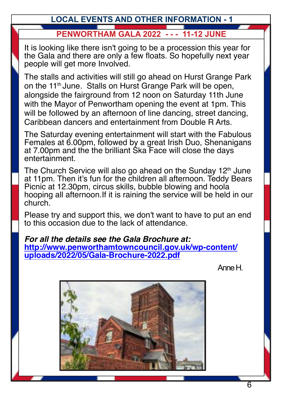## **LOCAL EVENTS AND OTHER INFORMATION - 1 PENWORTHAM GALA 2022 - - - 11-12 JUNE**

It is looking like there isn't going to be a procession this year for the Gala and there are only a few floats. So hopefully next year people will get more Involved.

The stalls and activities will still go ahead on Hurst Grange Park on the 11<sup>th</sup> June. Stalls on Hurst Grange Park will be open, alongside the fairground from 12 noon on Saturday 11th June with the Mayor of Penwortham opening the event at 1pm. This will be followed by an afternoon of line dancing, street dancing, Caribbean dancers and entertainment from Double R Arts.

The Saturday evening entertainment will start with the Fabulous Females at 6.00pm, followed by a great Irish Duo, Shenanigans at 7.00pm and the the brilliant Ska Face will close the days entertainment.

The Church Service will also go ahead on the Sunday  $12<sup>th</sup>$  June at 11pm. Then it's fun for the children all afternoon. Teddy Bears Picnic at 12.30pm, circus skills, bubble blowing and hoola hooping all afternoon.If it is raining the service will be held in our church.

Please try and support this, we don't want to have to put an end to this occasion due to the lack of attendance.

*For all the details see the Gala Brochure at:* **[http://www.penworthamtowncouncil.gov.uk/wp-content/](http://www.penworthamtowncouncil.gov.uk/wp-content/uploads/2022/05/Gala-Brochure-2022.pdf) [uploads/2022/05/Gala-Brochure-2022.pdf](http://www.penworthamtowncouncil.gov.uk/wp-content/uploads/2022/05/Gala-Brochure-2022.pdf)**

Anne H.

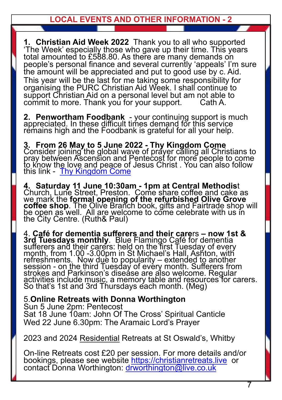**LOCAL EVENTS AND OTHER INFORMATION - 2**

**1. Christian Aid Week 2022** Thank you to all who supported 'The Week' especially those who gave up their time. This years total amounted to £588.80. As there are many demands on people's personal finance and several currently 'appeals' I'm sure the amount will be appreciated and put to good use by c. Aid. This year will be the last for me taking some responsibility for organising the PURC Christian Aid Week. I shall continue to support Christian Aid on a personal level but am not able to commit to more. Thank you for your support.

**2. Penwortham Foodbank** - your continuing support is much appreciated. In these difficult times demand for this service remains high and the Foodbank is grateful for all your help.

**3. From 26 May to 5 June 2022 - Thy Kingdom Come** Consider joining the global wave of prayer calling all Christians to pray between Ascension and Pentecost for more people to come to know the love and peace of Jesus Christ . You can also follow this link - [Thy Kingdom Come](https://www.thykingdomcome.global/)

**4. Saturday 11 June 10:30am - 1pm at Central Methodis**t Church, Lune Street, Preston. Come share coffee and cake as we mark the **formal opening of the refurbished Olive Grove coffee shop**. The Olive Branch book, gifts and Fairtrade shop will be open as well. All are welcome to come celebrate with us in the City Centre. (Ruth& Paul)

4. **Café for dementia sufferers and their care**rs **– now 1st & 3rd Tuesdays monthly**. Blue Flamingo Café for dementia sufferers and their carers: held on the first Tuesday of every month, from 1.00 -3.00pm in St Michael's Hall, Ashton, with refreshments. Now due to popularity – extended to another session - on the third Tuesday of evéry month. Sufferers from strokes and Parkinson's disease are also welcome. Regular activities include music, a memory table and resources for carers. So that's 1st and 3rd Thursdays each month. (Meg)

5.**Online Retreats with Donna Worthington** Sun 5 June 2pm: Pentecost Sat 18 June 10am: John Of The Cross' Spiritual Canticle Wed 22 June 6.30pm: The Aramaic Lord's Prayer

2023 and 2024 Residential Retreats at St Oswald's, Whitby

On-line Retreats cost £20 per session. For more details and/or bookings, please see website <https://christianretreats.live> or contact Donna Worthington: [drworthington@live.co.uk](mailto:drworthington@live.co.uk)

7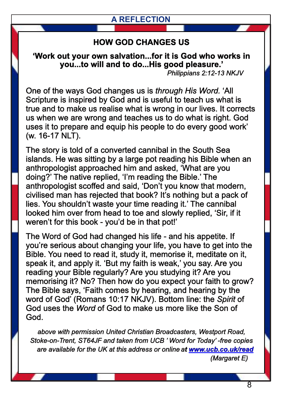#### **A REFLECTION**

#### **HOW GOD CHANGES US**

**'Work out your own salvation...for it is God who works in you...to will and to do...His good pleasure.'** *Philippians 2:12-13 NKJV*

One of the ways God changes us is *through His Word.* 'All Scripture is inspired by God and is useful to teach us what is true and to make us realise what is wrong in our lives. It corrects us when we are wrong and teaches us to do what is right. God uses it to prepare and equip his people to do every good work' (w. 16-17 NLT).

The story is told of a converted cannibal in the South Sea islands. He was sitting by a large pot reading his Bible when an anthropologist approached him and asked, 'What are you doing?' The native replied, 'I'm reading the Bible.' The anthropologist scoffed and said, 'Don't you know that modern, civilised man has rejected that book? It's nothing but a pack of lies. You shouldn't waste your time reading it.' The cannibal looked him over from head to toe and slowly replied, 'Sir, if it weren't for this book - you'd be in that pot!'

The Word of God had changed his life - and his appetite. If you're serious about changing your life, you have to get into the Bible. You need to read it, study it, memorise it, meditate on it, speak it, and apply it. 'But my faith is weak,' you say. Are you reading your Bible regularly? Are you studying it? Are you memorising it? No? Then how do you expect your faith to grow? The Bible says, 'Faith comes by hearing, and hearing by the word of God' (Romans 10:17 NKJV). Bottom line: the *Spirit* of God uses the *Word* of God to make us more like the Son of God.

*above with permission United Christian Broadcasters, Westport Road, Stoke-on-Trent, ST64JF and taken from UCB ' Word for Today' -free copies are available for the UK at this address or onlineat www.ucb.co.uk/read (Margaret E)*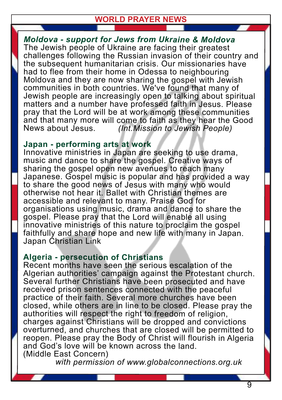#### **WORLD PRAYER NEWS**

*Moldova - support for Jews from Ukraine & Moldova* The Jewish people of Ukraine are facing their greatest challenges following the Russian invasion of their country and the subsequent humanitarian crisis. Our missionaries have had to flee from their home in Odessa to neighbouring Moldova and they are now sharing the gospel with Jewish communities in both countries. We've found that many of Jewish people are increasingly open to talking about spiritual matters and <sup>a</sup> number have professed faith in Jesus. Please pray that the Lord will be at work among these communities and that many more will come to faith as they hear the Good<br>News about Jesus. (Int.Mission to Jewish People) *(Int.Mission to Jewish People)* 

#### **Japan - performing arts at work**

Innovative ministries in Japan are seeking to use drama, music and dance to share the gospel. Creative ways of sharing the gospel open new avenues to reach many Japanese. Gospel music is popular and has provided <sup>a</sup> way to share the good news of Jesus with many who would otherwise not hear it. Ballet with Christian themes are accessible and relevant to many. Praise God for organisations using music, drama and dance to share the gospel. Please pray that the Lord will enable all using innovative ministries of this nature to proclaim the gospel faithfully and share hope and new life with many in Japan. Japan Christian Link

#### **Algeria - persecution of Christians**

Recent months have seen the serious escalation of the Algerian authorities' campaign against the Protestant church. Several further Christians have been prosecuted and have received prison sentences connected with the peaceful practice of their faith. Several more churches have been closed, while others are in line to be closed. Please pray the authorities will respect the right to freedom of religion, charges against Christians will be dropped and convictions overturned, and churches that are closed will be permitted to reopen. Please pray the Body of Christ will flourish in Algeria and God's love will be known across the land. (Middle East Concern)

*with permission of www.globalconnections.org.uk*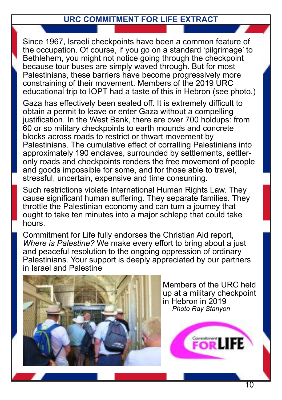#### **URC COMMITMENT FOR LIFE EXTRACT**

Since 1967, Israeli checkpoints have been a common feature of the occupation. Of course, if you go on a standard 'pilgrimage' to Bethlehem, you might not notice going through the checkpoint because tour buses are simply waved through. But for most Palestinians, these barriers have become progressively more constraining of their movement. Members of the 2019 URC educational trip to IOPT had a taste of this in Hebron (see photo.)

Gaza has effectively been sealed off. It is extremely difficult to obtain a permit to leave or enter Gaza without a compelling justification. In the West Bank, there are over 700 holdups: from 60 or so military checkpoints to earth mounds and concrete blocks across roads to restrict or thwart movement by Palestinians. The cumulative effect of corralling Palestinians into approximately 190 enclaves, surrounded by settlements, settleronly roads and checkpoints renders the free movement of people and goods impossible for some, and for those able to travel, stressful, uncertain, expensive and time consuming.

Such restrictions violate International Human Rights Law. They cause significant human suffering. They separate families. They throttle the Palestinian economy and can turn a journey that ought to take ten minutes into a major schlepp that could take hours.

Commitment for Life fully endorses the Christian Aid report, *Where is Palestine?* We make every effort to bring about a just and peaceful resolution to the ongoing oppression of ordinary Palestinians. Your support is deeply appreciated by our partners in Israel and Palestine



Members of the URC held up at a military checkpoint in Hebron in 2019 *Photo Ray Stanyon*

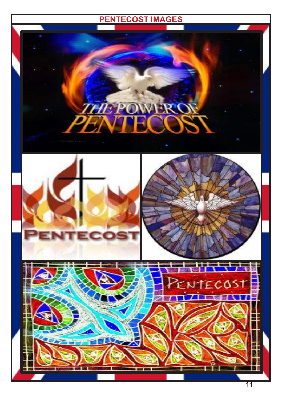## **PENTECOST IMAGES**

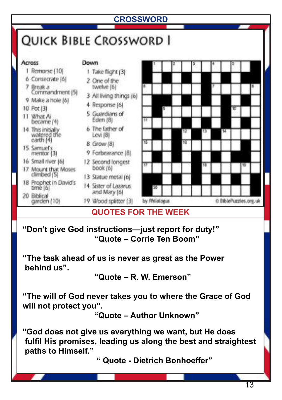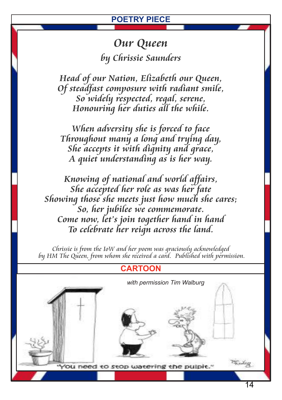#### **POETRY PIECE**

## *Our Queen by Chrissie Saunders*

*Head of our Nation, Elizabeth our Queen, Of steadfast composure with radiant smile, So widely respected, regal, serene, Honouring her duties all the while.*

*When adversity she is forced to face Throughout many a long and trying day, She accepts it with dignity and grace, A quiet understanding as is her way.*

*Knowing of national and world affairs, She accepted her role as was her fate Showing those she meets just how much she cares; So, her jubilee we commemorate. Come now, let's join together hand in hand To celebrate her reign across the land.*

*Chrissie is from the IoW and her poem was graciously acknowledged by HM The Queen, from whom she received a card. Published with permission.*

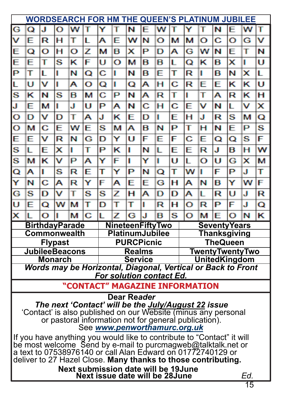| <b>WORDSEARCH FOR HM THE QUEEN'S PLATINUM JUBILEE</b>                                                                       |                                            |   |   |                       |               |                |                                      |                         |   |   |                        |               |                                 |                      |   |   |   |  |  |
|-----------------------------------------------------------------------------------------------------------------------------|--------------------------------------------|---|---|-----------------------|---------------|----------------|--------------------------------------|-------------------------|---|---|------------------------|---------------|---------------------------------|----------------------|---|---|---|--|--|
| G                                                                                                                           | Q                                          | J | o | w                     | т             | Y              |                                      | N                       | F | w |                        |               |                                 | N                    | F | w | т |  |  |
| v                                                                                                                           | Е                                          | R | н | т                     | L             | А              | E                                    | w                       | N | Ō | м                      | м             | o                               | c                    | О | G | v |  |  |
| E                                                                                                                           | Q                                          | O | н | o                     | z             | м              | в                                    | x                       | P | D | А                      | G             | w                               | N                    | E | T | N |  |  |
| Ë                                                                                                                           | Е                                          | т | s | κ                     | F             | U              | Ō                                    | м                       | в | в | L                      | Q             | κ                               | в                    | x | ı | Ü |  |  |
| P                                                                                                                           | т                                          | L | ı | N                     | Q             | с              | ı                                    | Ν                       | в | E | т                      | R             | п                               | в                    | Ν | × | L |  |  |
| L                                                                                                                           | U                                          | v | ı | А                     | O             | Q              | ı                                    | Q                       | А | н | Ċ                      | R             | E                               | E                    | κ | κ | U |  |  |
| s                                                                                                                           | κ                                          | N | s | в                     | м             | с              | P                                    | N                       | А | R | т                      | ı             | т                               | А                    | R | κ | н |  |  |
| J                                                                                                                           | E                                          | м | п | J                     | U             | P              | Α                                    | N                       | с | н | с                      | E             | v                               | Ν                    | L | v | x |  |  |
| o                                                                                                                           | D                                          | v | D | T                     | А             | J              | κ                                    | E                       | D | T | E                      | н             | J                               | R                    | S | м | Q |  |  |
| O                                                                                                                           | м                                          | с | Ë | w                     | Ë             | s              | м                                    | A                       | в | N | P                      | T             | н                               | N                    | E | P | s |  |  |
| Ë                                                                                                                           | E                                          | v | R | N                     | G             | D              | Y                                    | U                       | F | E | F                      | с             | E                               | Q                    | Q | s | F |  |  |
| S                                                                                                                           | L                                          | E | x | ı                     | T             | P              | κ                                    | ı                       | Ν | L | F                      | E             | R                               | J                    | в | н | w |  |  |
| S                                                                                                                           | м                                          | κ | v | P                     | А             | Y              | F                                    | I                       | Y | ı | Ü                      | L             | O                               | U                    | G | × | М |  |  |
| Q                                                                                                                           | A                                          | ı | s | R                     | E             | т              | Y                                    | Р                       | Ν | Q | т                      | w             | ı                               | F                    | P | J | т |  |  |
| Ÿ                                                                                                                           | N                                          | С | А | R                     | Y             | F              | А                                    | E                       | E | G | н                      | А             | N                               | в                    | Y | w | F |  |  |
| G                                                                                                                           | s                                          | D | v | т                     | s             | s              | z                                    | н                       | А | D | D                      | А             | L                               | R                    | U | J | R |  |  |
| U                                                                                                                           | E                                          | Q | w | м                     | т             | D              | т                                    | т                       | ı | R | н                      | Ō             | R                               | Р                    | F | J | Q |  |  |
| ×                                                                                                                           | п                                          | O | ı | м                     | Ċ             | L              | z                                    | G                       | J | в | S                      | Ō             | м                               | E                    | Ō | N | ĸ |  |  |
|                                                                                                                             |                                            |   |   | <b>BirthdayParade</b> |               |                |                                      | <b>NineteenFiftyTwo</b> |   |   |                        |               |                                 | <b>Seventy Years</b> |   |   |   |  |  |
| Commonwealth<br><b>Flypast</b>                                                                                              |                                            |   |   |                       |               |                | PlatinumJubilee<br><b>PURCPicnic</b> |                         |   |   |                        |               | Thanksgiving<br><b>TheQueen</b> |                      |   |   |   |  |  |
| <b>JubileeBeacons</b>                                                                                                       |                                            |   |   |                       | <b>Realms</b> |                |                                      |                         |   |   | <b>TwentyTwentyTwo</b> |               |                                 |                      |   |   |   |  |  |
| <b>Monarch</b>                                                                                                              |                                            |   |   |                       |               | <b>Service</b> |                                      |                         |   |   |                        | UnitedKingdom |                                 |                      |   |   |   |  |  |
| Words may be Horizontal, Diagonal, Vertical or Back to Front<br><b>For solution contact Ed.</b>                             |                                            |   |   |                       |               |                |                                      |                         |   |   |                        |               |                                 |                      |   |   |   |  |  |
| "CONTACT" MAGAZINE INFORMATION                                                                                              |                                            |   |   |                       |               |                |                                      |                         |   |   |                        |               |                                 |                      |   |   |   |  |  |
| Dear Reader                                                                                                                 |                                            |   |   |                       |               |                |                                      |                         |   |   |                        |               |                                 |                      |   |   |   |  |  |
| The next 'Contact' will be the July/August 22 issue                                                                         |                                            |   |   |                       |               |                |                                      |                         |   |   |                        |               |                                 |                      |   |   |   |  |  |
| 'Contact' is also published on our Website (minus any personal<br>or pastoral information not for general publication).     |                                            |   |   |                       |               |                |                                      |                         |   |   |                        |               |                                 |                      |   |   |   |  |  |
| See www.penworthamurc.org.uk                                                                                                |                                            |   |   |                       |               |                |                                      |                         |   |   |                        |               |                                 |                      |   |   |   |  |  |
| If you have anything you would like to contribute to "Contact" it will                                                      |                                            |   |   |                       |               |                |                                      |                         |   |   |                        |               |                                 |                      |   |   |   |  |  |
| be most welcome Send by e-mail to purcmagweb@talktalk.net or<br>a text to 07538976140 or call Alan Edward on 01772740129 or |                                            |   |   |                       |               |                |                                      |                         |   |   |                        |               |                                 |                      |   |   |   |  |  |
| deliver to 27 Hazel Close. Many thanks to those contributing.                                                               |                                            |   |   |                       |               |                |                                      |                         |   |   |                        |               |                                 |                      |   |   |   |  |  |
|                                                                                                                             | <b>Next submission date will be 19June</b> |   |   |                       |               |                |                                      |                         |   |   |                        |               |                                 |                      |   |   |   |  |  |
| Next issue date will be 28June<br>Ed.<br>15                                                                                 |                                            |   |   |                       |               |                |                                      |                         |   |   |                        |               |                                 |                      |   |   |   |  |  |